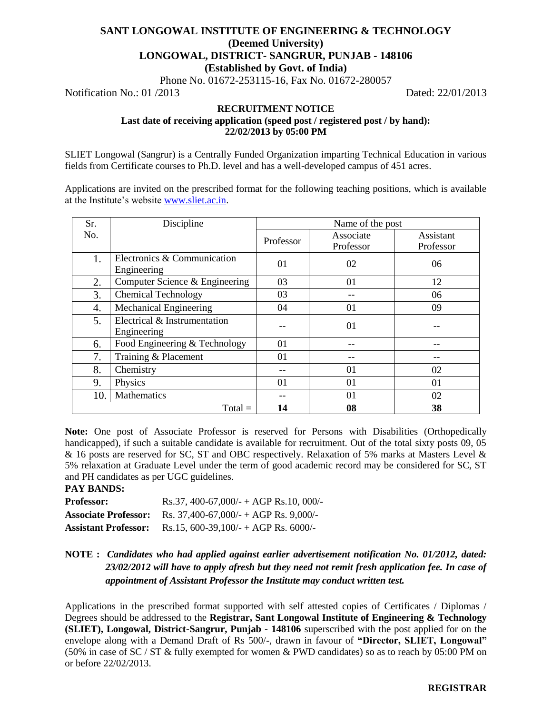# **SANT LONGOWAL INSTITUTE OF ENGINEERING & TECHNOLOGY (Deemed University) LONGOWAL, DISTRICT- SANGRUR, PUNJAB - 148106 (Established by Govt. of India)**

Phone No. 01672-253115-16, Fax No. 01672-280057

Notification No.: 01 /2013 Dated: 22/01/2013

# **RECRUITMENT NOTICE Last date of receiving application (speed post / registered post / by hand): 22/02/2013 by 05:00 PM**

SLIET Longowal (Sangrur) is a Centrally Funded Organization imparting Technical Education in various fields from Certificate courses to Ph.D. level and has a well-developed campus of 451 acres.

Applications are invited on the prescribed format for the following teaching positions, which is available at the Institute's website [www.sliet.ac.in.](http://www.sliet.ac.in/)

| Sr. | Discipline                     | Name of the post |           |           |
|-----|--------------------------------|------------------|-----------|-----------|
| No. |                                | Professor        | Associate | Assistant |
|     |                                |                  | Professor | Professor |
| 1.  | Electronics & Communication    | 01               | 02        | 06        |
|     | Engineering                    |                  |           |           |
| 2.  | Computer Science & Engineering | 03               | 01        | 12        |
| 3.  | <b>Chemical Technology</b>     | 03               | --        | 06        |
| 4.  | Mechanical Engineering         | 04               | 01        | 09        |
| 5.  | Electrical & Instrumentation   |                  | 01        |           |
|     | Engineering                    |                  |           |           |
| 6.  | Food Engineering & Technology  | 01               |           |           |
| 7.  | Training & Placement           | 01               |           |           |
| 8.  | Chemistry                      | --               | 01        | 02        |
| 9.  | Physics                        | 01               | 01        | 01        |
| 10. | Mathematics                    | --               | 01        | 02        |
|     | $Total =$                      | 14               | 08        | 38        |

**Note:** One post of Associate Professor is reserved for Persons with Disabilities (Orthopedically handicapped), if such a suitable candidate is available for recruitment. Out of the total sixty posts 09, 05 & 16 posts are reserved for SC, ST and OBC respectively. Relaxation of 5% marks at Masters Level & 5% relaxation at Graduate Level under the term of good academic record may be considered for SC, ST and PH candidates as per UGC guidelines.

**PAY BANDS:**

| <b>Professor:</b>           | Rs.37, 400-67,000/- + AGP Rs.10, 000/-      |
|-----------------------------|---------------------------------------------|
| <b>Associate Professor:</b> | Rs. $37,400-67,000/$ - + AGP Rs. $9,000/$ - |
| <b>Assistant Professor:</b> | Rs.15, 600-39, 100/- + AGP Rs. 6000/-       |

# **NOTE :** *Candidates who had applied against earlier advertisement notification No. 01/2012, dated: 23/02/2012 will have to apply afresh but they need not remit fresh application fee. In case of appointment of Assistant Professor the Institute may conduct written test.*

Applications in the prescribed format supported with self attested copies of Certificates / Diplomas / Degrees should be addressed to the **Registrar, Sant Longowal Institute of Engineering & Technology (SLIET), Longowal, District-Sangrur, Punjab - 148106** superscribed with the post applied for on the envelope along with a Demand Draft of Rs 500/-, drawn in favour of **"Director, SLIET, Longowal"** (50% in case of SC / ST & fully exempted for women & PWD candidates) so as to reach by 05:00 PM on or before 22/02/2013.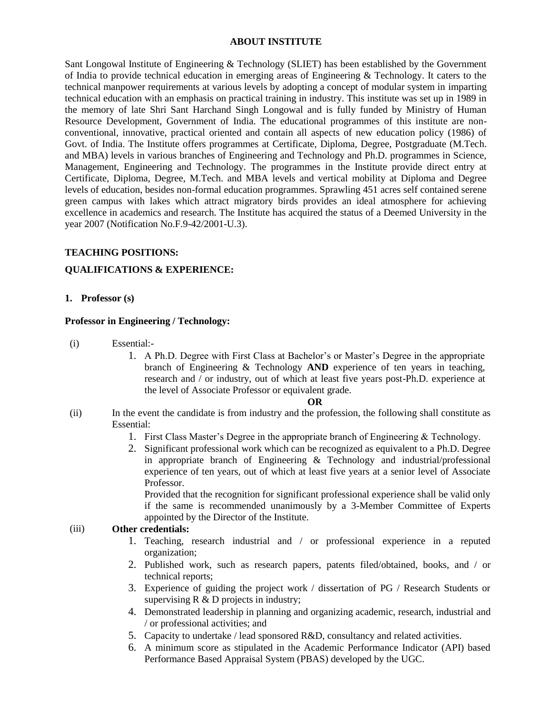### **ABOUT INSTITUTE**

Sant Longowal Institute of Engineering & Technology (SLIET) has been established by the Government of India to provide technical education in emerging areas of Engineering & Technology. It caters to the technical manpower requirements at various levels by adopting a concept of modular system in imparting technical education with an emphasis on practical training in industry. This institute was set up in 1989 in the memory of late Shri Sant Harchand Singh Longowal and is fully funded by Ministry of Human Resource Development, Government of India. The educational programmes of this institute are nonconventional, innovative, practical oriented and contain all aspects of new education policy (1986) of Govt. of India. The Institute offers programmes at Certificate, Diploma, Degree, Postgraduate (M.Tech. and MBA) levels in various branches of Engineering and Technology and Ph.D. programmes in Science, Management, Engineering and Technology. The programmes in the Institute provide direct entry at Certificate, Diploma, Degree, M.Tech. and MBA levels and vertical mobility at Diploma and Degree levels of education, besides non-formal education programmes. Sprawling 451 acres self contained serene green campus with lakes which attract migratory birds provides an ideal atmosphere for achieving excellence in academics and research. The Institute has acquired the status of a Deemed University in the year 2007 (Notification No.F.9-42/2001-U.3).

### **TEACHING POSITIONS:**

### **QUALIFICATIONS & EXPERIENCE:**

**1. Professor (s)**

### **Professor in Engineering / Technology:**

- (i) Essential:-
	- 1. A Ph.D. Degree with First Class at Bachelor's or Master's Degree in the appropriate branch of Engineering & Technology **AND** experience of ten years in teaching, research and / or industry, out of which at least five years post-Ph.D. experience at the level of Associate Professor or equivalent grade.

#### **OR**

- (ii) In the event the candidate is from industry and the profession, the following shall constitute as Essential:
	- 1. First Class Master's Degree in the appropriate branch of Engineering & Technology.
	- 2. Significant professional work which can be recognized as equivalent to a Ph.D. Degree in appropriate branch of Engineering & Technology and industrial/professional experience of ten years, out of which at least five years at a senior level of Associate Professor.

Provided that the recognition for significant professional experience shall be valid only if the same is recommended unanimously by a 3-Member Committee of Experts appointed by the Director of the Institute.

# (iii) **Other credentials:**

- 1. Teaching, research industrial and / or professional experience in a reputed organization;
- 2. Published work, such as research papers, patents filed/obtained, books, and / or technical reports;
- 3. Experience of guiding the project work / dissertation of PG / Research Students or supervising R & D projects in industry;
- 4. Demonstrated leadership in planning and organizing academic, research, industrial and / or professional activities; and
- 5. Capacity to undertake / lead sponsored R&D, consultancy and related activities.
- 6. A minimum score as stipulated in the Academic Performance Indicator (API) based Performance Based Appraisal System (PBAS) developed by the UGC.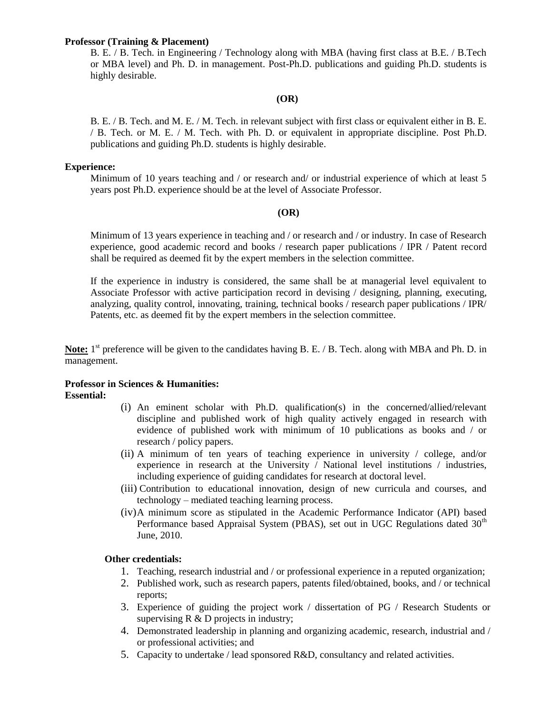#### **Professor (Training & Placement)**

B. E. / B. Tech. in Engineering / Technology along with MBA (having first class at B.E. / B.Tech or MBA level) and Ph. D. in management. Post-Ph.D. publications and guiding Ph.D. students is highly desirable.

# **(OR)**

B. E. / B. Tech. and M. E. / M. Tech. in relevant subject with first class or equivalent either in B. E. / B. Tech. or M. E. / M. Tech. with Ph. D. or equivalent in appropriate discipline. Post Ph.D. publications and guiding Ph.D. students is highly desirable.

### **Experience:**

Minimum of 10 years teaching and / or research and/ or industrial experience of which at least 5 years post Ph.D. experience should be at the level of Associate Professor.

### **(OR)**

Minimum of 13 years experience in teaching and / or research and / or industry. In case of Research experience, good academic record and books / research paper publications / IPR / Patent record shall be required as deemed fit by the expert members in the selection committee.

If the experience in industry is considered, the same shall be at managerial level equivalent to Associate Professor with active participation record in devising / designing, planning, executing, analyzing, quality control, innovating, training, technical books / research paper publications / IPR/ Patents, etc. as deemed fit by the expert members in the selection committee.

Note: 1<sup>st</sup> preference will be given to the candidates having B. E. / B. Tech. along with MBA and Ph. D. in management.

### **Professor in Sciences & Humanities: Essential:**

- (i) An eminent scholar with Ph.D. qualification(s) in the concerned/allied/relevant discipline and published work of high quality actively engaged in research with evidence of published work with minimum of 10 publications as books and / or research / policy papers.
- (ii) A minimum of ten years of teaching experience in university / college, and/or experience in research at the University / National level institutions / industries, including experience of guiding candidates for research at doctoral level.
- (iii) Contribution to educational innovation, design of new curricula and courses, and technology – mediated teaching learning process.
- (iv)A minimum score as stipulated in the Academic Performance Indicator (API) based Performance based Appraisal System (PBAS), set out in UGC Regulations dated  $30<sup>th</sup>$ June, 2010.

# **Other credentials:**

- 1. Teaching, research industrial and / or professional experience in a reputed organization;
- 2. Published work, such as research papers, patents filed/obtained, books, and / or technical reports;
- 3. Experience of guiding the project work / dissertation of PG / Research Students or supervising  $R \& D$  projects in industry;
- 4. Demonstrated leadership in planning and organizing academic, research, industrial and / or professional activities; and
- 5. Capacity to undertake / lead sponsored R&D, consultancy and related activities.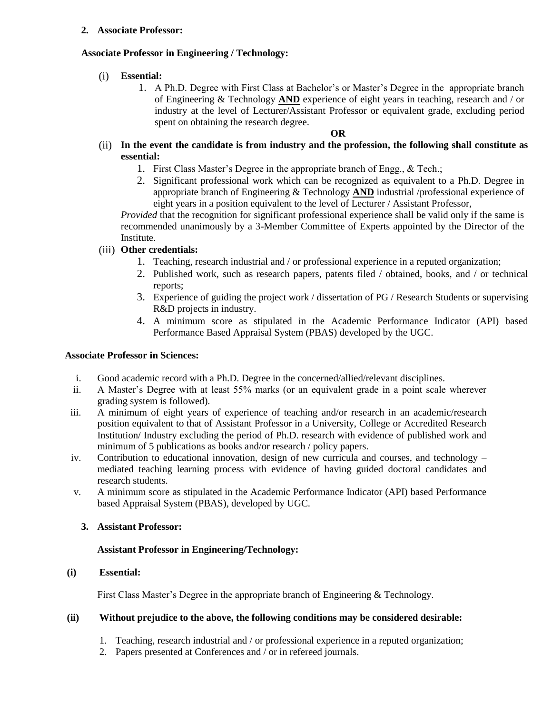# **2. Associate Professor:**

# **Associate Professor in Engineering / Technology:**

- (i) **Essential:**
	- 1. A Ph.D. Degree with First Class at Bachelor's or Master's Degree in the appropriate branch of Engineering & Technology **AND** experience of eight years in teaching, research and / or industry at the level of Lecturer/Assistant Professor or equivalent grade, excluding period spent on obtaining the research degree.

### **OR**

# (ii) **In the event the candidate is from industry and the profession, the following shall constitute as essential:**

- 1. First Class Master's Degree in the appropriate branch of Engg., & Tech.;
- 2. Significant professional work which can be recognized as equivalent to a Ph.D. Degree in appropriate branch of Engineering & Technology **AND** industrial /professional experience of eight years in a position equivalent to the level of Lecturer / Assistant Professor,

*Provided* that the recognition for significant professional experience shall be valid only if the same is recommended unanimously by a 3-Member Committee of Experts appointed by the Director of the Institute.

# (iii) **Other credentials:**

- 1. Teaching, research industrial and / or professional experience in a reputed organization;
- 2. Published work, such as research papers, patents filed / obtained, books, and / or technical reports;
- 3. Experience of guiding the project work / dissertation of PG / Research Students or supervising R&D projects in industry.
- 4. A minimum score as stipulated in the Academic Performance Indicator (API) based Performance Based Appraisal System (PBAS) developed by the UGC.

# **Associate Professor in Sciences:**

- i. Good academic record with a Ph.D. Degree in the concerned/allied/relevant disciplines.
- ii. A Master's Degree with at least 55% marks (or an equivalent grade in a point scale wherever grading system is followed).
- iii. A minimum of eight years of experience of teaching and/or research in an academic/research position equivalent to that of Assistant Professor in a University, College or Accredited Research Institution/ Industry excluding the period of Ph.D. research with evidence of published work and minimum of 5 publications as books and/or research / policy papers.
- iv. Contribution to educational innovation, design of new curricula and courses, and technology mediated teaching learning process with evidence of having guided doctoral candidates and research students.
- v. A minimum score as stipulated in the Academic Performance Indicator (API) based Performance based Appraisal System (PBAS), developed by UGC.

# **3. Assistant Professor:**

# **Assistant Professor in Engineering/Technology:**

# **(i) Essential:**

First Class Master's Degree in the appropriate branch of Engineering & Technology.

# **(ii) Without prejudice to the above, the following conditions may be considered desirable:**

- 1. Teaching, research industrial and / or professional experience in a reputed organization;
- 2. Papers presented at Conferences and / or in refereed journals.